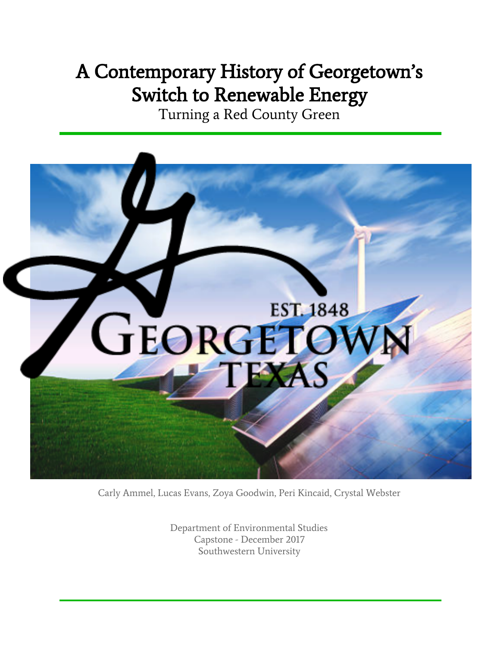# A Contemporary History of Georgetown's Switch to Renewable Energy

Turning a Red County Green



Carly Ammel, Lucas Evans, Zoya Goodwin, Peri Kincaid, Crystal Webster

Department of Environmental Studies Capstone - December 2017 Southwestern University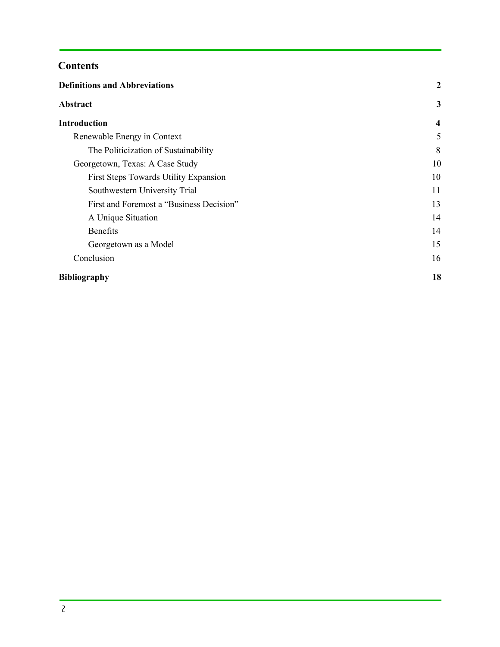## **Contents**

| <b>Definitions and Abbreviations</b>     | 2                       |
|------------------------------------------|-------------------------|
| Abstract                                 | 3                       |
| <b>Introduction</b>                      | $\overline{\mathbf{4}}$ |
| Renewable Energy in Context              | 5                       |
| The Politicization of Sustainability     | 8                       |
| Georgetown, Texas: A Case Study          | 10                      |
| First Steps Towards Utility Expansion    | 10                      |
| Southwestern University Trial            | 11                      |
| First and Foremost a "Business Decision" | 13                      |
| A Unique Situation                       | 14                      |
| <b>Benefits</b>                          | 14                      |
| Georgetown as a Model                    | 15                      |
| Conclusion                               | 16                      |
| <b>Bibliography</b>                      | 18                      |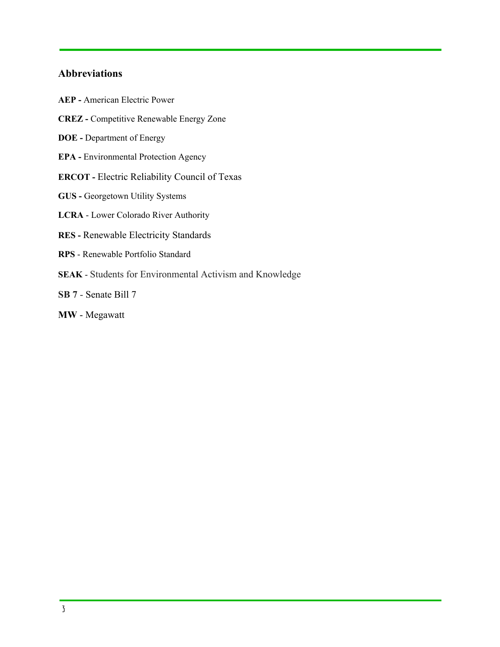## <span id="page-2-0"></span>**Abbreviations**

- **AEP -** American Electric Power **CREZ -** Competitive Renewable Energy Zone **DOE -** Department of Energy **EPA -** Environmental Protection Agency **ERCOT -** Electric Reliability Council of Texas **GUS -** Georgetown Utility Systems **LCRA** - Lower Colorado River Authority **RES -** Renewable Electricity Standards **RPS** - Renewable Portfolio Standard **SEAK** - Students for Environmental Activism and Knowledge **SB 7** - Senate Bill 7
- **MW**  Megawatt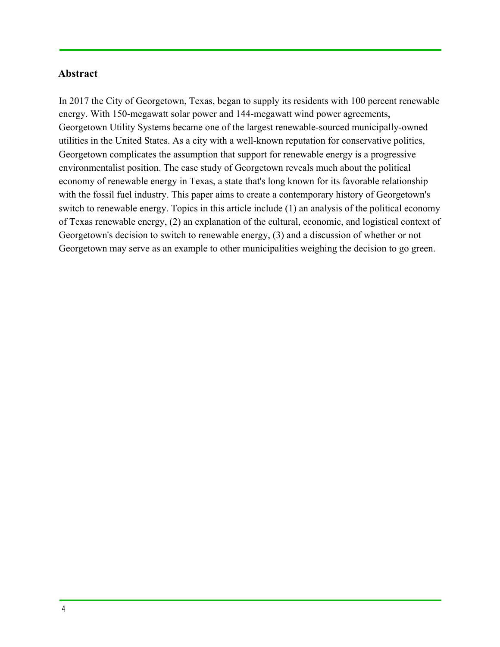## <span id="page-3-0"></span>**Abstract**

In 2017 the City of Georgetown, Texas, began to supply its residents with 100 percent renewable energy. With 150-megawatt solar power and 144-megawatt wind power agreements, Georgetown Utility Systems became one of the largest renewable-sourced municipally-owned utilities in the United States. As a city with a well-known reputation for conservative politics, Georgetown complicates the assumption that support for renewable energy is a progressive environmentalist position. The case study of Georgetown reveals much about the political economy of renewable energy in Texas, a state that's long known for its favorable relationship with the fossil fuel industry. This paper aims to create a contemporary history of Georgetown's switch to renewable energy. Topics in this article include (1) an analysis of the political economy of Texas renewable energy, (2) an explanation of the cultural, economic, and logistical context of Georgetown's decision to switch to renewable energy, (3) and a discussion of whether or not Georgetown may serve as an example to other municipalities weighing the decision to go green.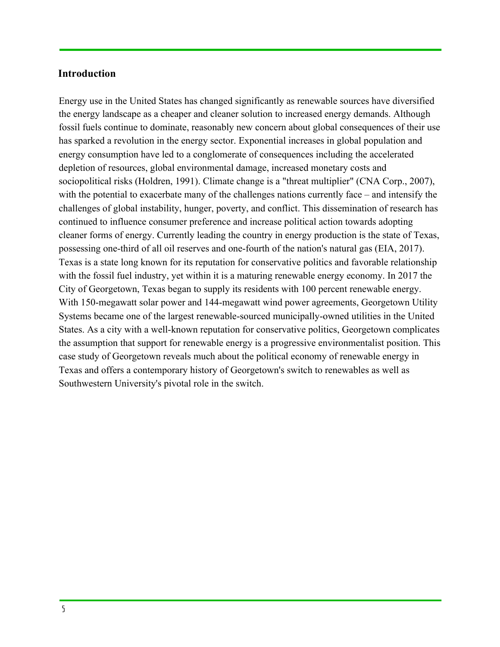## <span id="page-4-0"></span>**Introduction**

Energy use in the United States has changed significantly as renewable sources have diversified the energy landscape as a cheaper and cleaner solution to increased energy demands. Although fossil fuels continue to dominate, reasonably new concern about global consequences of their use has sparked a revolution in the energy sector. Exponential increases in global population and energy consumption have led to a conglomerate of consequences including the accelerated depletion of resources, global environmental damage, increased monetary costs and sociopolitical risks (Holdren, 1991). Climate change is a "threat multiplier" (CNA Corp., 2007), with the potential to exacerbate many of the challenges nations currently face – and intensify the challenges of global instability, hunger, poverty, and conflict. This dissemination of research has continued to influence consumer preference and increase political action towards adopting cleaner forms of energy. Currently leading the country in energy production is the state of Texas, possessing one-third of all oil reserves and one-fourth of the nation's natural gas (EIA, 2017). Texas is a state long known for its reputation for conservative politics and favorable relationship with the fossil fuel industry, yet within it is a maturing renewable energy economy. In 2017 the City of Georgetown, Texas began to supply its residents with 100 percent renewable energy. With 150-megawatt solar power and 144-megawatt wind power agreements, Georgetown Utility Systems became one of the largest renewable-sourced municipally-owned utilities in the United States. As a city with a well-known reputation for conservative politics, Georgetown complicates the assumption that support for renewable energy is a progressive environmentalist position. This case study of Georgetown reveals much about the political economy of renewable energy in Texas and offers a contemporary history of Georgetown's switch to renewables as well as Southwestern University's pivotal role in the switch.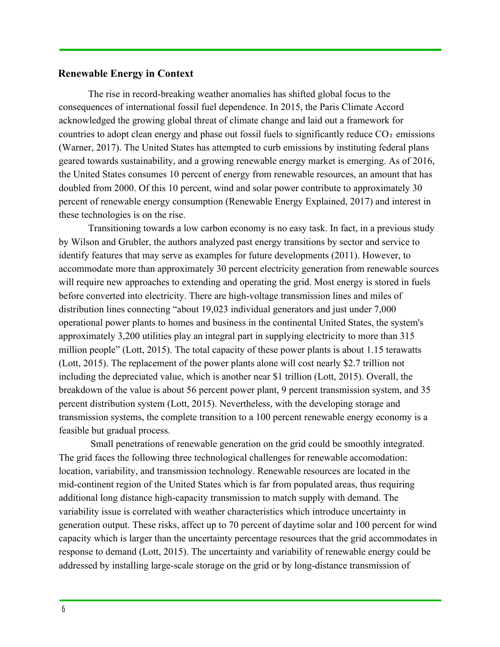## <span id="page-5-0"></span>**Renewable Energy in Context**

The rise in record-breaking weather anomalies has shifted global focus to the consequences of international fossil fuel dependence. In 2015, the Paris Climate Accord acknowledged the growing global threat of climate change and laid out a framework for countries to adopt clean energy and phase out fossil fuels to significantly reduce  $CO<sub>2</sub>$  emissions (Warner, 2017). The United States has attempted to curb emissions by instituting federal plans geared towards sustainability, and a growing renewable energy market is emerging. As of 2016, the United States consumes 10 percent of energy from renewable resources, an amount that has doubled from 2000. Of this 10 percent, wind and solar power contribute to approximately 30 percent of renewable energy consumption (Renewable Energy Explained, 2017) and interest in these technologies is on the rise.

Transitioning towards a low carbon economy is no easy task. In fact, in a previous study by Wilson and Grubler, the authors analyzed past energy transitions by sector and service to identify features that may serve as examples for future developments (2011). However, to accommodate more than approximately 30 percent electricity generation from renewable sources will require new approaches to extending and operating the grid. Most energy is stored in fuels before converted into electricity. There are high-voltage transmission lines and miles of distribution lines connecting "about 19,023 individual generators and just under 7,000 operational power plants to homes and business in the continental United States, the system's approximately 3,200 utilities play an integral part in supplying electricity to more than 315 million people" (Lott, 2015). The total capacity of these power plants is about 1.15 terawatts (Lott, 2015). The replacement of the power plants alone will cost nearly \$2.7 trillion not including the depreciated value, which is another near \$1 trillion (Lott, 2015). Overall, the breakdown of the value is about 56 percent power plant, 9 percent transmission system, and 35 percent distribution system (Lott, 2015). Nevertheless, with the developing storage and transmission systems, the complete transition to a 100 percent renewable energy economy is a feasible but gradual process.

 Small penetrations of renewable generation on the grid could be smoothly integrated. The grid faces the following three technological challenges for renewable accomodation: location, variability, and transmission technology. Renewable resources are located in the mid-continent region of the United States which is far from populated areas, thus requiring additional long distance high-capacity transmission to match supply with demand. The variability issue is correlated with weather characteristics which introduce uncertainty in generation output. These risks, affect up to 70 percent of daytime solar and 100 percent for wind capacity which is larger than the uncertainty percentage resources that the grid accommodates in response to demand (Lott, 2015). The uncertainty and variability of renewable energy could be addressed by installing large-scale storage on the grid or by long-distance transmission of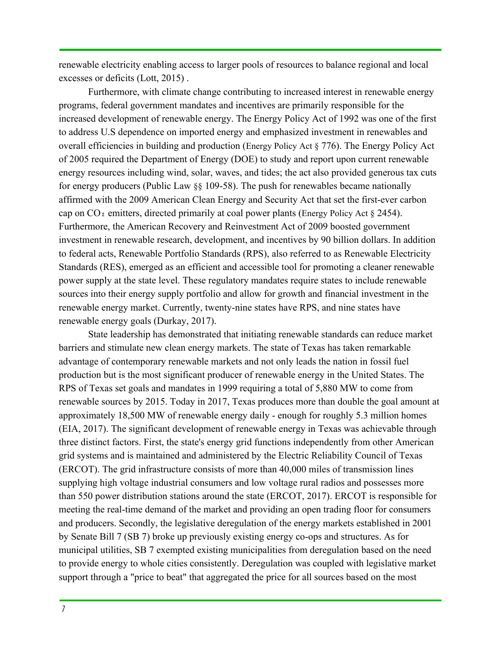renewable electricity enabling access to larger pools of resources to balance regional and local excesses or deficits (Lott, 2015) .

Furthermore, with climate change contributing to increased interest in renewable energy programs, federal government mandates and incentives are primarily responsible for the increased development of renewable energy. The Energy Policy Act of 1992 was one of the first to address U.S dependence on imported energy and emphasized investment in renewables and overall efficiencies in building and production (Energy Policy Act § 776). The Energy Policy Act of 2005 required the Department of Energy (DOE) to study and report upon current renewable energy resources including wind, solar, waves, and tides; the act also provided generous tax cuts for energy producers (Public Law §§ 109-58). The push for renewables became nationally affirmed with the 2009 American Clean Energy and Security Act that set the first-ever carbon cap on  $CO<sub>2</sub>$  emitters, directed primarily at coal power plants (Energy Policy Act  $\S$  2454). Furthermore, the American Recovery and Reinvestment Act of 2009 boosted government investment in renewable research, development, and incentives by 90 billion dollars. In addition to federal acts, Renewable Portfolio Standards (RPS), also referred to as Renewable Electricity Standards (RES), emerged as an efficient and accessible tool for promoting a cleaner renewable power supply at the state level. These regulatory mandates require states to include renewable sources into their energy supply portfolio and allow for growth and financial investment in the renewable energy market. Currently, twenty-nine states have RPS, and nine states have renewable energy goals (Durkay, 2017).

State leadership has demonstrated that initiating renewable standards can reduce market barriers and stimulate new clean energy markets. The state of Texas has taken remarkable advantage of contemporary renewable markets and not only leads the nation in fossil fuel production but is the most significant producer of renewable energy in the United States. The RPS of Texas set goals and mandates in 1999 requiring a total of 5,880 MW to come from renewable sources by 2015. Today in 2017, Texas produces more than double the goal amount at approximately 18,500 MW of renewable energy daily - enough for roughly 5.3 million homes (EIA, 2017). The significant development of renewable energy in Texas was achievable through three distinct factors. First, the state's energy grid functions independently from other American grid systems and is maintained and administered by the Electric Reliability Council of Texas (ERCOT). The grid infrastructure consists of more than 40,000 miles of transmission lines supplying high voltage industrial consumers and low voltage rural radios and possesses more than 550 power distribution stations around the state (ERCOT, 2017). ERCOT is responsible for meeting the real-time demand of the market and providing an open trading floor for consumers and producers. Secondly, the legislative deregulation of the energy markets established in 2001 by Senate Bill 7 (SB 7) broke up previously existing energy co-ops and structures. As for municipal utilities, SB 7 exempted existing municipalities from deregulation based on the need to provide energy to whole cities consistently. Deregulation was coupled with legislative market support through a "price to beat" that aggregated the price for all sources based on the most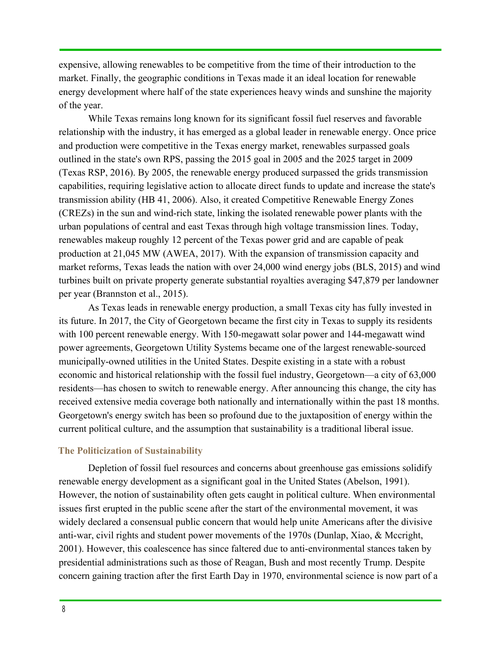expensive, allowing renewables to be competitive from the time of their introduction to the market. Finally, the geographic conditions in Texas made it an ideal location for renewable energy development where half of the state experiences heavy winds and sunshine the majority of the year.

While Texas remains long known for its significant fossil fuel reserves and favorable relationship with the industry, it has emerged as a global leader in renewable energy. Once price and production were competitive in the Texas energy market, renewables surpassed goals outlined in the state's own RPS, passing the 2015 goal in 2005 and the 2025 target in 2009 (Texas RSP, 2016). By 2005, the renewable energy produced surpassed the grids transmission capabilities, requiring legislative action to allocate direct funds to update and increase the state's transmission ability (HB 41, 2006). Also, it created Competitive Renewable Energy Zones (CREZs) in the sun and wind-rich state, linking the isolated renewable power plants with the urban populations of central and east Texas through high voltage transmission lines. Today, renewables makeup roughly 12 percent of the Texas power grid and are capable of peak production at 21,045 MW (AWEA, 2017). With the expansion of transmission capacity and market reforms, Texas leads the nation with over 24,000 wind energy jobs (BLS, 2015) and wind turbines built on private property generate substantial royalties averaging \$47,879 per landowner per year (Brannston et al., 2015).

As Texas leads in renewable energy production, a small Texas city has fully invested in its future. In 2017, the City of Georgetown became the first city in Texas to supply its residents with 100 percent renewable energy. With 150-megawatt solar power and 144-megawatt wind power agreements, Georgetown Utility Systems became one of the largest renewable-sourced municipally-owned utilities in the United States. Despite existing in a state with a robust economic and historical relationship with the fossil fuel industry, Georgetown—a city of 63,000 residents—has chosen to switch to renewable energy. After announcing this change, the city has received extensive media coverage both nationally and internationally within the past 18 months. Georgetown's energy switch has been so profound due to the juxtaposition of energy within the current political culture, and the assumption that sustainability is a traditional liberal issue.

#### <span id="page-7-0"></span>**The Politicization of Sustainability**

Depletion of fossil fuel resources and concerns about greenhouse gas emissions solidify renewable energy development as a significant goal in the United States (Abelson, 1991). However, the notion of sustainability often gets caught in political culture. When environmental issues first erupted in the public scene after the start of the environmental movement, it was widely declared a consensual public concern that would help unite Americans after the divisive anti-war, civil rights and student power movements of the 1970s (Dunlap, Xiao, & Mccright, 2001). However, this coalescence has since faltered due to anti-environmental stances taken by presidential administrations such as those of Reagan, Bush and most recently Trump. Despite concern gaining traction after the first Earth Day in 1970, environmental science is now part of a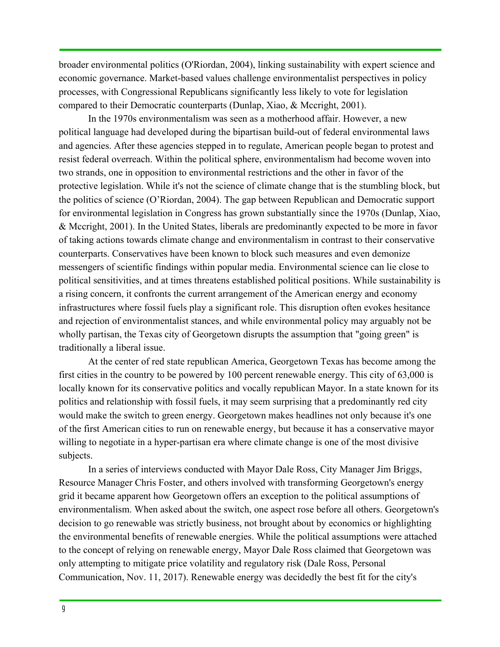broader environmental politics (O'Riordan, 2004), linking sustainability with expert science and economic governance. Market-based values challenge environmentalist perspectives in policy processes, with Congressional Republicans significantly less likely to vote for legislation compared to their Democratic counterparts (Dunlap, Xiao, & Mccright, 2001).

In the 1970s environmentalism was seen as a motherhood affair. However, a new political language had developed during the bipartisan build-out of federal environmental laws and agencies. After these agencies stepped in to regulate, American people began to protest and resist federal overreach. Within the political sphere, environmentalism had become woven into two strands, one in opposition to environmental restrictions and the other in favor of the protective legislation. While it's not the science of climate change that is the stumbling block, but the politics of science (O'Riordan, 2004). The gap between Republican and Democratic support for environmental legislation in Congress has grown substantially since the 1970s (Dunlap, Xiao, & Mccright, 2001). In the United States, liberals are predominantly expected to be more in favor of taking actions towards climate change and environmentalism in contrast to their conservative counterparts. Conservatives have been known to block such measures and even demonize messengers of scientific findings within popular media. Environmental science can lie close to political sensitivities, and at times threatens established political positions. While sustainability is a rising concern, it confronts the current arrangement of the American energy and economy infrastructures where fossil fuels play a significant role. This disruption often evokes hesitance and rejection of environmentalist stances, and while environmental policy may arguably not be wholly partisan, the Texas city of Georgetown disrupts the assumption that "going green" is traditionally a liberal issue.

At the center of red state republican America, Georgetown Texas has become among the first cities in the country to be powered by 100 percent renewable energy. This city of 63,000 is locally known for its conservative politics and vocally republican Mayor. In a state known for its politics and relationship with fossil fuels, it may seem surprising that a predominantly red city would make the switch to green energy. Georgetown makes headlines not only because it's one of the first American cities to run on renewable energy, but because it has a conservative mayor willing to negotiate in a hyper-partisan era where climate change is one of the most divisive subjects.

In a series of interviews conducted with Mayor Dale Ross, City Manager Jim Briggs, Resource Manager Chris Foster, and others involved with transforming Georgetown's energy grid it became apparent how Georgetown offers an exception to the political assumptions of environmentalism. When asked about the switch, one aspect rose before all others. Georgetown's decision to go renewable was strictly business, not brought about by economics or highlighting the environmental benefits of renewable energies. While the political assumptions were attached to the concept of relying on renewable energy, Mayor Dale Ross claimed that Georgetown was only attempting to mitigate price volatility and regulatory risk (Dale Ross, Personal Communication, Nov. 11, 2017). Renewable energy was decidedly the best fit for the city's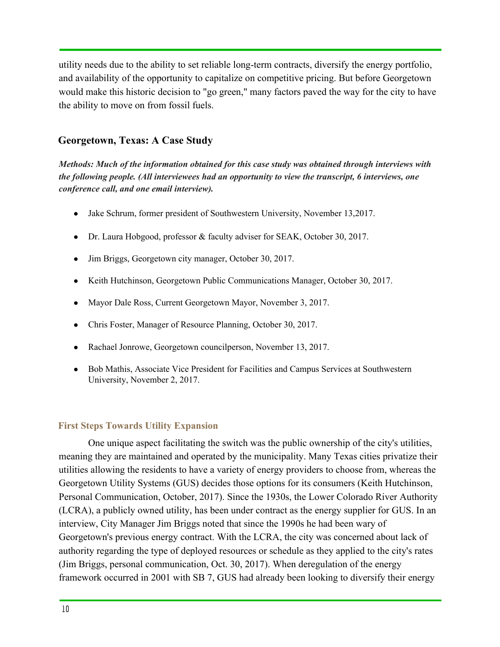utility needs due to the ability to set reliable long-term contracts, diversify the energy portfolio, and availability of the opportunity to capitalize on competitive pricing. But before Georgetown would make this historic decision to "go green," many factors paved the way for the city to have the ability to move on from fossil fuels.

## <span id="page-9-0"></span>**Georgetown, Texas: A Case Study**

*Methods: Much of the information obtained for this case study was obtained through interviews with the following people. (All interviewees had an opportunity to view the transcript, 6 interviews, one conference call, and one email interview).*

- Jake Schrum, former president of Southwestern University, November 13,2017.
- Dr. Laura Hobgood, professor & faculty adviser for SEAK, October 30, 2017.
- Jim Briggs, Georgetown city manager, October 30, 2017.
- Keith Hutchinson, Georgetown Public Communications Manager, October 30, 2017.
- Mayor Dale Ross, Current Georgetown Mayor, November 3, 2017.
- Chris Foster, Manager of Resource Planning, October 30, 2017.
- Rachael Jonrowe, Georgetown council person, November 13, 2017.
- Bob Mathis, Associate Vice President for Facilities and Campus Services at Southwestern University, November 2, 2017.

## <span id="page-9-1"></span>**First Steps Towards Utility Expansion**

One unique aspect facilitating the switch was the public ownership of the city's utilities, meaning they are maintained and operated by the municipality. Many Texas cities privatize their utilities allowing the residents to have a variety of energy providers to choose from, whereas the Georgetown Utility Systems (GUS) decides those options for its consumers (Keith Hutchinson, Personal Communication, October, 2017). Since the 1930s, the Lower Colorado River Authority (LCRA), a publicly owned utility, has been under contract as the energy supplier for GUS. In an interview, City Manager Jim Briggs noted that since the 1990s he had been wary of Georgetown's previous energy contract. With the LCRA, the city was concerned about lack of authority regarding the type of deployed resources or schedule as they applied to the city's rates (Jim Briggs, personal communication, Oct. 30, 2017). When deregulation of the energy framework occurred in 2001 with SB 7, GUS had already been looking to diversify their energy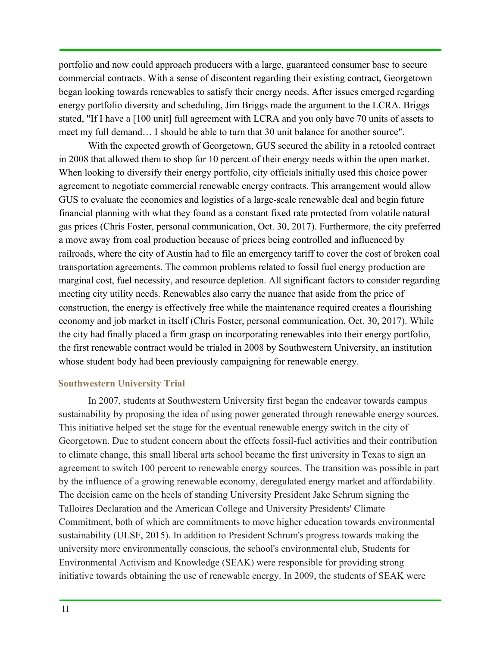portfolio and now could approach producers with a large, guaranteed consumer base to secure commercial contracts. With a sense of discontent regarding their existing contract, Georgetown began looking towards renewables to satisfy their energy needs. After issues emerged regarding energy portfolio diversity and scheduling, Jim Briggs made the argument to the LCRA. Briggs stated, "If I have a [100 unit] full agreement with LCRA and you only have 70 units of assets to meet my full demand… I should be able to turn that 30 unit balance for another source".

With the expected growth of Georgetown, GUS secured the ability in a retooled contract in 2008 that allowed them to shop for 10 percent of their energy needs within the open market. When looking to diversify their energy portfolio, city officials initially used this choice power agreement to negotiate commercial renewable energy contracts. This arrangement would allow GUS to evaluate the economics and logistics of a large-scale renewable deal and begin future financial planning with what they found as a constant fixed rate protected from volatile natural gas prices (Chris Foster, personal communication, Oct. 30, 2017). Furthermore, the city preferred a move away from coal production because of prices being controlled and influenced by railroads, where the city of Austin had to file an emergency tariff to cover the cost of broken coal transportation agreements. The common problems related to fossil fuel energy production are marginal cost, fuel necessity, and resource depletion. All significant factors to consider regarding meeting city utility needs. Renewables also carry the nuance that aside from the price of construction, the energy is effectively free while the maintenance required creates a flourishing economy and job market in itself (Chris Foster, personal communication, Oct. 30, 2017). While the city had finally placed a firm grasp on incorporating renewables into their energy portfolio, the first renewable contract would be trialed in 2008 by Southwestern University, an institution whose student body had been previously campaigning for renewable energy.

## <span id="page-10-0"></span>**Southwestern University Trial**

In 2007, students at Southwestern University first began the endeavor towards campus sustainability by proposing the idea of using power generated through renewable energy sources. This initiative helped set the stage for the eventual renewable energy switch in the city of Georgetown. Due to student concern about the effects fossil-fuel activities and their contribution to climate change, this small liberal arts school became the first university in Texas to sign an agreement to switch 100 percent to renewable energy sources. The transition was possible in part by the influence of a growing renewable economy, deregulated energy market and affordability. The decision came on the heels of standing University President Jake Schrum signing the Talloires Declaration and the American College and University Presidents' Climate Commitment, both of which are commitments to move higher education towards environmental sustainability (ULSF, 2015). In addition to President Schrum's progress towards making the university more environmentally conscious, the school's environmental club, Students for Environmental Activism and Knowledge (SEAK) were responsible for providing strong initiative towards obtaining the use of renewable energy. In 2009, the students of SEAK were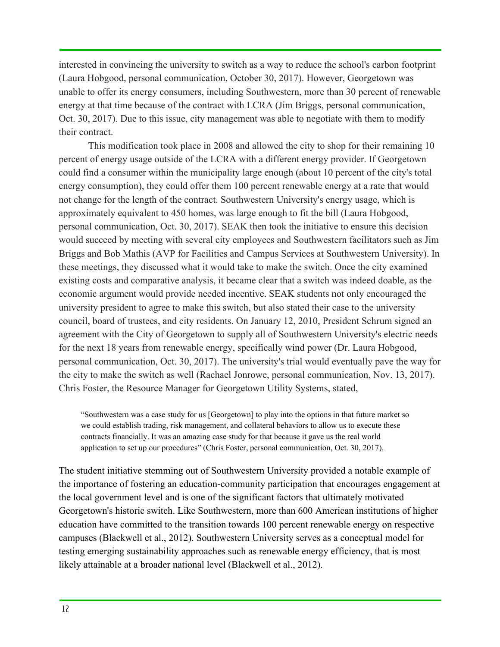interested in convincing the university to switch as a way to reduce the school's carbon footprint (Laura Hobgood, personal communication, October 30, 2017). However, Georgetown was unable to offer its energy consumers, including Southwestern, more than 30 percent of renewable energy at that time because of the contract with LCRA (Jim Briggs, personal communication, Oct. 30, 2017). Due to this issue, city management was able to negotiate with them to modify their contract.

This modification took place in 2008 and allowed the city to shop for their remaining 10 percent of energy usage outside of the LCRA with a different energy provider. If Georgetown could find a consumer within the municipality large enough (about 10 percent of the city's total energy consumption), they could offer them 100 percent renewable energy at a rate that would not change for the length of the contract. Southwestern University's energy usage, which is approximately equivalent to 450 homes, was large enough to fit the bill (Laura Hobgood, personal communication, Oct. 30, 2017). SEAK then took the initiative to ensure this decision would succeed by meeting with several city employees and Southwestern facilitators such as Jim Briggs and Bob Mathis (AVP for Facilities and Campus Services at Southwestern University). In these meetings, they discussed what it would take to make the switch. Once the city examined existing costs and comparative analysis, it became clear that a switch was indeed doable, as the economic argument would provide needed incentive. SEAK students not only encouraged the university president to agree to make this switch, but also stated their case to the university council, board of trustees, and city residents. On January 12, 2010, President Schrum signed an agreement with the City of Georgetown to supply all of Southwestern University's electric needs for the next 18 years from renewable energy, specifically wind power (Dr. Laura Hobgood, personal communication, Oct. 30, 2017). The university's trial would eventually pave the way for the city to make the switch as well (Rachael Jonrowe, personal communication, Nov. 13, 2017). Chris Foster, the Resource Manager for Georgetown Utility Systems, stated,

"Southwestern was a case study for us [Georgetown] to play into the options in that future market so we could establish trading, risk management, and collateral behaviors to allow us to execute these contracts financially. It was an amazing case study for that because it gave us the real world application to set up our procedures" (Chris Foster, personal communication, Oct. 30, 2017).

The student initiative stemming out of Southwestern University provided a notable example of the importance of fostering an education-community participation that encourages engagement at the local government level and is one of the significant factors that ultimately motivated Georgetown's historic switch. Like Southwestern, more than 600 American institutions of higher education have committed to the transition towards 100 percent renewable energy on respective campuses (Blackwell et al., 2012). Southwestern University serves as a conceptual model for testing emerging sustainability approaches such as renewable energy efficiency, that is most likely attainable at a broader national level (Blackwell et al., 2012).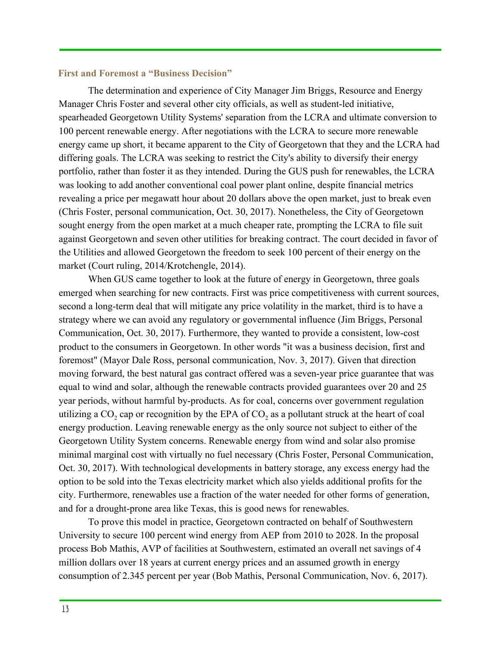## <span id="page-12-0"></span>**First and Foremost a "Business Decision"**

The determination and experience of City Manager Jim Briggs, Resource and Energy Manager Chris Foster and several other city officials, as well as student-led initiative, spearheaded Georgetown Utility Systems' separation from the LCRA and ultimate conversion to 100 percent renewable energy. After negotiations with the LCRA to secure more renewable energy came up short, it became apparent to the City of Georgetown that they and the LCRA had differing goals. The LCRA was seeking to restrict the City's ability to diversify their energy portfolio, rather than foster it as they intended. During the GUS push for renewables, the LCRA was looking to add another conventional coal power plant online, despite financial metrics revealing a price per megawatt hour about 20 dollars above the open market, just to break even (Chris Foster, personal communication, Oct. 30, 2017). Nonetheless, the City of Georgetown sought energy from the open market at a much cheaper rate, prompting the LCRA to file suit against Georgetown and seven other utilities for breaking contract. The court decided in favor of the Utilities and allowed Georgetown the freedom to seek 100 percent of their energy on the market (Court ruling, 2014/Krotchengle, 2014).

When GUS came together to look at the future of energy in Georgetown, three goals emerged when searching for new contracts. First was price competitiveness with current sources, second a long-term deal that will mitigate any price volatility in the market, third is to have a strategy where we can avoid any regulatory or governmental influence (Jim Briggs, Personal Communication, Oct. 30, 2017). Furthermore, they wanted to provide a consistent, low-cost product to the consumers in Georgetown. In other words "it was a business decision, first and foremost" (Mayor Dale Ross, personal communication, Nov. 3, 2017). Given that direction moving forward, the best natural gas contract offered was a seven-year price guarantee that was equal to wind and solar, although the renewable contracts provided guarantees over 20 and 25 year periods, without harmful by-products. As for coal, concerns over government regulation utilizing a CO<sub>2</sub> cap or recognition by the EPA of CO<sub>2</sub> as a pollutant struck at the heart of coal energy production. Leaving renewable energy as the only source not subject to either of the Georgetown Utility System concerns. Renewable energy from wind and solar also promise minimal marginal cost with virtually no fuel necessary (Chris Foster, Personal Communication, Oct. 30, 2017). With technological developments in battery storage, any excess energy had the option to be sold into the Texas electricity market which also yields additional profits for the city. Furthermore, renewables use a fraction of the water needed for other forms of generation, and for a drought-prone area like Texas, this is good news for renewables.

To prove this model in practice, Georgetown contracted on behalf of Southwestern University to secure 100 percent wind energy from AEP from 2010 to 2028. In the proposal process Bob Mathis, AVP of facilities at Southwestern, estimated an overall net savings of 4 million dollars over 18 years at current energy prices and an assumed growth in energy consumption of 2.345 percent per year (Bob Mathis, Personal Communication, Nov. 6, 2017).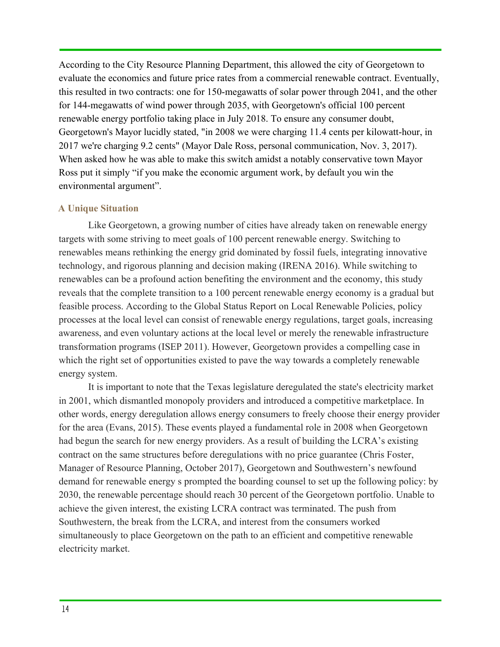According to the City Resource Planning Department, this allowed the city of Georgetown to evaluate the economics and future price rates from a commercial renewable contract. Eventually, this resulted in two contracts: one for 150-megawatts of solar power through 2041, and the other for 144-megawatts of wind power through 2035, with Georgetown's official 100 percent renewable energy portfolio taking place in July 2018. To ensure any consumer doubt, Georgetown's Mayor lucidly stated, "in 2008 we were charging 11.4 cents per kilowatt-hour, in 2017 we're charging 9.2 cents" (Mayor Dale Ross, personal communication, Nov. 3, 2017). When asked how he was able to make this switch amidst a notably conservative town Mayor Ross put it simply "if you make the economic argument work, by default you win the environmental argument".

## <span id="page-13-0"></span>**A Unique Situation**

Like Georgetown, a growing number of cities have already taken on renewable energy targets with some striving to meet goals of 100 percent renewable energy. Switching to renewables means rethinking the energy grid dominated by fossil fuels, integrating innovative technology, and rigorous planning and decision making (IRENA 2016). While switching to renewables can be a profound action benefiting the environment and the economy, this study reveals that the complete transition to a 100 percent renewable energy economy is a gradual but feasible process. According to the Global Status Report on Local Renewable Policies, policy processes at the local level can consist of renewable energy regulations, target goals, increasing awareness, and even voluntary actions at the local level or merely the renewable infrastructure transformation programs (ISEP 2011). However, Georgetown provides a compelling case in which the right set of opportunities existed to pave the way towards a completely renewable energy system.

It is important to note that the Texas legislature deregulated the state's electricity market in 2001, which dismantled monopoly providers and introduced a competitive marketplace. In other words, energy deregulation allows energy consumers to freely choose their energy provider for the area (Evans, 2015). These events played a fundamental role in 2008 when Georgetown had begun the search for new energy providers. As a result of building the LCRA's existing contract on the same structures before deregulations with no price guarantee (Chris Foster, Manager of Resource Planning, October 2017), Georgetown and Southwestern's newfound demand for renewable energy s prompted the boarding counsel to set up the following policy: by 2030, the renewable percentage should reach 30 percent of the Georgetown portfolio. Unable to achieve the given interest, the existing LCRA contract was terminated. The push from Southwestern, the break from the LCRA, and interest from the consumers worked simultaneously to place Georgetown on the path to an efficient and competitive renewable electricity market.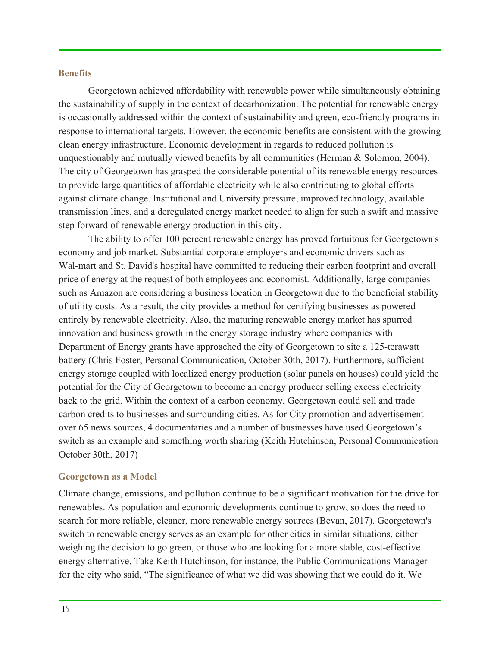#### <span id="page-14-0"></span>**Benefits**

Georgetown achieved affordability with renewable power while simultaneously obtaining the sustainability of supply in the context of decarbonization. The potential for renewable energy is occasionally addressed within the context of sustainability and green, eco-friendly programs in response to international targets. However, the economic benefits are consistent with the growing clean energy infrastructure. Economic development in regards to reduced pollution is unquestionably and mutually viewed benefits by all communities (Herman & Solomon, 2004). The city of Georgetown has grasped the considerable potential of its renewable energy resources to provide large quantities of affordable electricity while also contributing to global efforts against climate change. Institutional and University pressure, improved technology, available transmission lines, and a deregulated energy market needed to align for such a swift and massive step forward of renewable energy production in this city.

The ability to offer 100 percent renewable energy has proved fortuitous for Georgetown's economy and job market. Substantial corporate employers and economic drivers such as Wal-mart and St. David's hospital have committed to reducing their carbon footprint and overall price of energy at the request of both employees and economist. Additionally, large companies such as Amazon are considering a business location in Georgetown due to the beneficial stability of utility costs. As a result, the city provides a method for certifying businesses as powered entirely by renewable electricity. Also, the maturing renewable energy market has spurred innovation and business growth in the energy storage industry where companies with Department of Energy grants have approached the city of Georgetown to site a 125-terawatt battery (Chris Foster, Personal Communication, October 30th, 2017). Furthermore, sufficient energy storage coupled with localized energy production (solar panels on houses) could yield the potential for the City of Georgetown to become an energy producer selling excess electricity back to the grid. Within the context of a carbon economy, Georgetown could sell and trade carbon credits to businesses and surrounding cities. As for City promotion and advertisement over 65 news sources, 4 documentaries and a number of businesses have used Georgetown's switch as an example and something worth sharing (Keith Hutchinson, Personal Communication October 30th, 2017)

#### <span id="page-14-1"></span>**Georgetown as a Model**

Climate change, emissions, and pollution continue to be a significant motivation for the drive for renewables. As population and economic developments continue to grow, so does the need to search for more reliable, cleaner, more renewable energy sources (Bevan, 2017). Georgetown's switch to renewable energy serves as an example for other cities in similar situations, either weighing the decision to go green, or those who are looking for a more stable, cost-effective energy alternative. Take Keith Hutchinson, for instance, the Public Communications Manager for the city who said, "The significance of what we did was showing that we could do it. We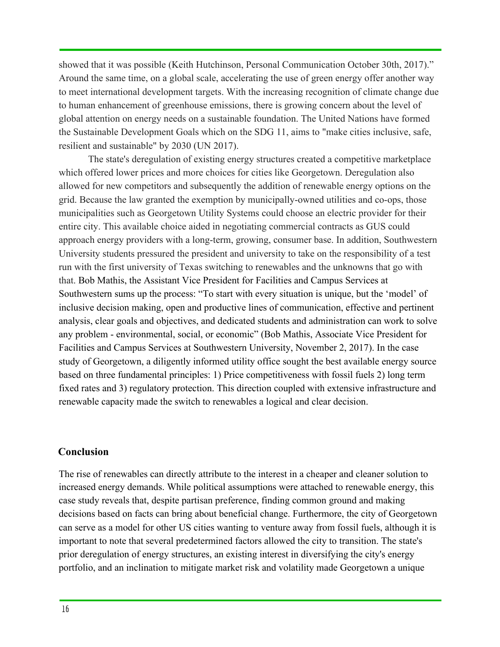showed that it was possible (Keith Hutchinson, Personal Communication October 30th, 2017)." Around the same time, on a global scale, accelerating the use of green energy offer another way to meet international development targets. With the increasing recognition of climate change due to human enhancement of greenhouse emissions, there is growing concern about the level of global attention on energy needs on a sustainable foundation. The United Nations have formed the Sustainable Development Goals which on the SDG 11, aims to "make cities inclusive, safe, resilient and sustainable" by 2030 (UN 2017).

The state's deregulation of existing energy structures created a competitive marketplace which offered lower prices and more choices for cities like Georgetown. Deregulation also allowed for new competitors and subsequently the addition of renewable energy options on the grid. Because the law granted the exemption by municipally-owned utilities and co-ops, those municipalities such as Georgetown Utility Systems could choose an electric provider for their entire city. This available choice aided in negotiating commercial contracts as GUS could approach energy providers with a long-term, growing, consumer base. In addition, Southwestern University students pressured the president and university to take on the responsibility of a test run with the first university of Texas switching to renewables and the unknowns that go with that. Bob Mathis, the Assistant Vice President for Facilities and Campus Services at Southwestern sums up the process: "To start with every situation is unique, but the 'model' of inclusive decision making, open and productive lines of communication, effective and pertinent analysis, clear goals and objectives, and dedicated students and administration can work to solve any problem - environmental, social, or economic" (Bob Mathis, Associate Vice President for Facilities and Campus Services at Southwestern University, November 2, 2017). In the case study of Georgetown, a diligently informed utility office sought the best available energy source based on three fundamental principles: 1) Price competitiveness with fossil fuels 2) long term fixed rates and 3) regulatory protection. This direction coupled with extensive infrastructure and renewable capacity made the switch to renewables a logical and clear decision.

## <span id="page-15-0"></span>**Conclusion**

The rise of renewables can directly attribute to the interest in a cheaper and cleaner solution to increased energy demands. While political assumptions were attached to renewable energy, this case study reveals that, despite partisan preference, finding common ground and making decisions based on facts can bring about beneficial change. Furthermore, the city of Georgetown can serve as a model for other US cities wanting to venture away from fossil fuels, although it is important to note that several predetermined factors allowed the city to transition. The state's prior deregulation of energy structures, an existing interest in diversifying the city's energy portfolio, and an inclination to mitigate market risk and volatility made Georgetown a unique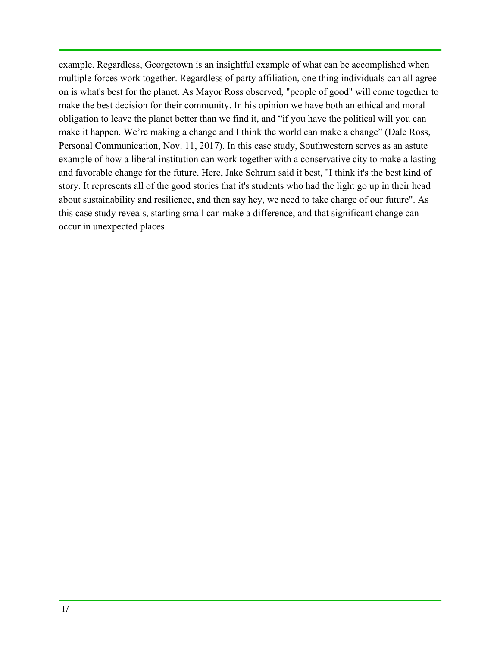example. Regardless, Georgetown is an insightful example of what can be accomplished when multiple forces work together. Regardless of party affiliation, one thing individuals can all agree on is what's best for the planet. As Mayor Ross observed, "people of good" will come together to make the best decision for their community. In his opinion we have both an ethical and moral obligation to leave the planet better than we find it, and "if you have the political will you can make it happen. We're making a change and I think the world can make a change" (Dale Ross, Personal Communication, Nov. 11, 2017). In this case study, Southwestern serves as an astute example of how a liberal institution can work together with a conservative city to make a lasting and favorable change for the future. Here, Jake Schrum said it best, "I think it's the best kind of story. It represents all of the good stories that it's students who had the light go up in their head about sustainability and resilience, and then say hey, we need to take charge of our future". As this case study reveals, starting small can make a difference, and that significant change can occur in unexpected places.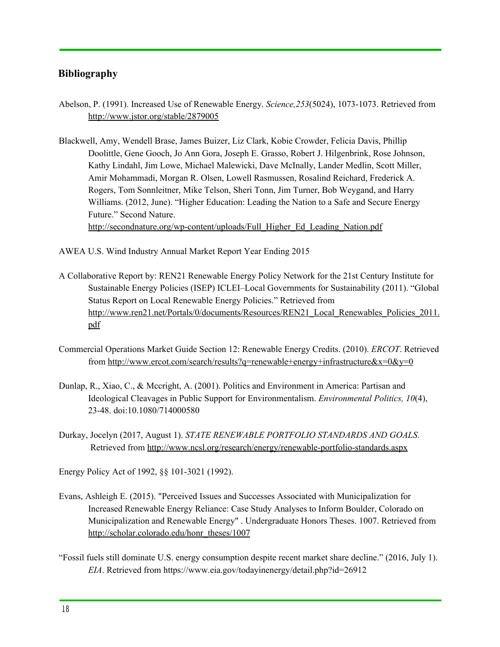## <span id="page-17-0"></span>**Bibliography**

- Abelson, P. (1991). Increased Use of Renewable Energy. *Science,253*(5024), 1073-1073. Retrieved from <http://www.jstor.org/stable/2879005>
- Blackwell, Amy, Wendell Brase, James Buizer, Liz Clark, Kobie Crowder, Felicia Davis, Phillip Doolittle, Gene Gooch, Jo Ann Gora, Joseph E. Grasso, Robert J. Hilgenbrink, Rose Johnson, Kathy Lindahl, Jim Lowe, Michael Malewicki, Dave McInally, Lander Medlin, Scott Miller, Amir Mohammadi, Morgan R. Olsen, Lowell Rasmussen, Rosalind Reichard, Frederick A. Rogers, Tom Sonnleitner, Mike Telson, Sheri Tonn, Jim Turner, Bob Weygand, and Harry Williams. (2012, June). "Higher Education: Leading the Nation to a Safe and Secure Energy Future." Second Nature. [http://secondnature.org/wp-content/uploads/Full\\_Higher\\_Ed\\_Leading\\_Nation.pdf](http://secondnature.org/wp-content/uploads/Full_Higher_Ed_Leading_Nation.pdf)
- AWEA U.S. Wind Industry Annual Market Report Year Ending 2015
- A Collaborative Report by: REN21 Renewable Energy Policy Network for the 21st Century Institute for Sustainable Energy Policies (ISEP) ICLEI–Local Governments for Sustainability (2011). "Global Status Report on Local Renewable Energy Policies." Retrieved from [http://www.ren21.net/Portals/0/documents/Resources/REN21\\_Local\\_Renewables\\_Policies\\_2011.](http://www.ren21.net/Portals/0/documents/Resources/REN21_Local_Renewables_Policies_2011.pdf) [pdf](http://www.ren21.net/Portals/0/documents/Resources/REN21_Local_Renewables_Policies_2011.pdf)
- Commercial Operations Market Guide Section 12: Renewable Energy Credits. (2010). *ERCOT*. Retrieved from <http://www.ercot.com/search/results?q=renewable+energy+infrastructure&x=0&y=0>
- Dunlap, R., Xiao, C., & Mccright, A. (2001). Politics and Environment in America: Partisan and Ideological Cleavages in Public Support for Environmentalism. *Environmental Politics, 10*(4), 23-48. doi:10.1080/714000580
- Durkay, Jocelyn (2017, August 1). *STATE RENEWABLE PORTFOLIO STANDARDS AND GOALS*. Retrieved from <http://www.ncsl.org/research/energy/renewable-portfolio-standards.aspx>

Energy Policy Act of 1992, §§ 101-3021 (1992).

- Evans, Ashleigh E. (2015). "Perceived Issues and Successes Associated with Municipalization for Increased Renewable Energy Reliance: Case Study Analyses to Inform Boulder, Colorado on Municipalization and Renewable Energy" . Undergraduate Honors Theses. 1007. Retrieved from [http://scholar.colorado.edu/honr\\_theses/1007](http://scholar.colorado.edu/honr_theses/1007)
- "Fossil fuels still dominate U.S. energy consumption despite recent market share decline." (2016, July 1). *EIA*. Retrieved from https://www.eia.gov/todayinenergy/detail.php?id=26912